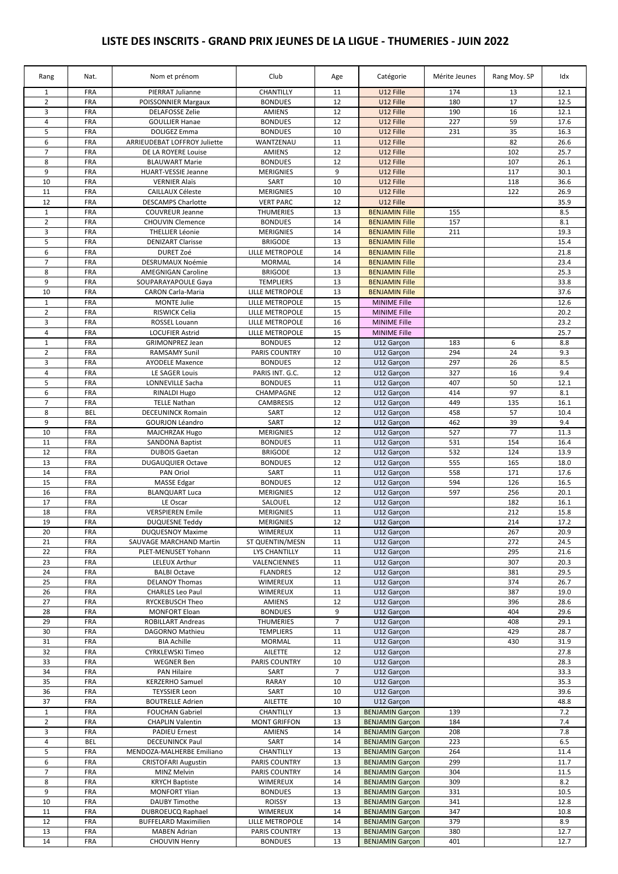## **LISTE DES INSCRITS - GRAND PRIX JEUNES DE LA LIGUE - THUMERIES - JUIN 2022**

| Rang                    | Nat.       | Nom et prénom                       | Club                   | Age            | Catégorie              | Mérite Jeunes | Rang Moy. SP | Idx  |
|-------------------------|------------|-------------------------------------|------------------------|----------------|------------------------|---------------|--------------|------|
| $\mathbf{1}$            | <b>FRA</b> | PIERRAT Julianne                    | CHANTILLY              | 11             | U12 Fille              | 174           | 13           | 12.1 |
| $\overline{2}$          | <b>FRA</b> | <b>POISSONNIER Margaux</b>          | <b>BONDUES</b>         | 12             | U12 Fille              | 180           | 17           | 12.5 |
| 3                       | <b>FRA</b> | <b>DELAFOSSE Zelie</b>              | <b>AMIENS</b>          | 12             | U12 Fille              | 190           | 16           | 12.1 |
| 4                       | <b>FRA</b> | <b>GOULLIER Hanae</b>               | <b>BONDUES</b>         | 12             | U12 Fille              | 227           | 59           | 17.6 |
| 5                       | <b>FRA</b> | <b>DOLIGEZ Emma</b>                 | <b>BONDUES</b>         | 10             | U12 Fille              | 231           | 35           | 16.3 |
| 6                       | FRA        | <b>ARRIEUDEBAT LOFFROY Juliette</b> | WANTZENAU              | 11             | U12 Fille              |               | 82           | 26.6 |
| $\overline{7}$          | <b>FRA</b> | DE LA ROYERE Louise                 | <b>AMIENS</b>          | 12             | U12 Fille              |               | 102          | 25.7 |
| 8                       | <b>FRA</b> | <b>BLAUWART Marie</b>               | <b>BONDUES</b>         | 12             | U12 Fille              |               | 107          | 26.1 |
| 9                       | <b>FRA</b> | HUART-VESSIE Jeanne                 | <b>MERIGNIES</b>       | 9              | U12 Fille              |               | 117          | 30.1 |
| 10                      | <b>FRA</b> | <b>VERNIER Alaïs</b>                | SART                   | 10             | U12 Fille              |               | 118          | 36.6 |
| 11                      | FRA        | <b>CAILLAUX Céleste</b>             | <b>MERIGNIES</b>       | 10             | U12 Fille              |               | 122          | 26.9 |
| 12                      | FRA        | <b>DESCAMPS Charlotte</b>           | <b>VERT PARC</b>       | 12             | U12 Fille              |               |              | 35.9 |
| $\mathbf{1}$            | <b>FRA</b> | <b>COUVREUR Jeanne</b>              | <b>THUMERIES</b>       | 13             | <b>BENJAMIN Fille</b>  | 155           |              | 8.5  |
| $\overline{2}$          | <b>FRA</b> | <b>CHOUVIN Clemence</b>             | <b>BONDUES</b>         | 14             | <b>BENJAMIN Fille</b>  | 157           |              | 8.1  |
| 3                       | <b>FRA</b> | <b>THELLIER Léonie</b>              | <b>MERIGNIES</b>       | 14             | <b>BENJAMIN Fille</b>  | 211           |              | 19.3 |
| 5                       | FRA        | <b>DENIZART Clarisse</b>            | <b>BRIGODE</b>         | 13             | <b>BENJAMIN Fille</b>  |               |              | 15.4 |
| 6                       | <b>FRA</b> | <b>DURET Zoé</b>                    | LILLE METROPOLE        | 14             | <b>BENJAMIN Fille</b>  |               |              | 21.8 |
| $\overline{7}$          | <b>FRA</b> | DESRUMAUX Noémie                    | <b>MORMAL</b>          | 14             | <b>BENJAMIN Fille</b>  |               |              | 23.4 |
| 8                       | <b>FRA</b> | <b>AMEGNIGAN Caroline</b>           | <b>BRIGODE</b>         | 13             | <b>BENJAMIN Fille</b>  |               |              | 25.3 |
| 9                       | <b>FRA</b> | SOUPARAYAPOULE Gaya                 | <b>TEMPLIERS</b>       | 13             | <b>BENJAMIN Fille</b>  |               |              | 33.8 |
| 10                      | FRA        | <b>CARON Carla-Maria</b>            | <b>LILLE METROPOLE</b> | 13             | <b>BENJAMIN Fille</b>  |               |              | 37.6 |
|                         |            |                                     |                        |                |                        |               |              |      |
| $\mathbf{1}$            | <b>FRA</b> | <b>MONTE Julie</b>                  | LILLE METROPOLE        | 15             | <b>MINIME Fille</b>    |               |              | 12.6 |
| $\overline{2}$          | <b>FRA</b> | RISWICK Celia                       | LILLE METROPOLE        | 15             | <b>MINIME Fille</b>    |               |              | 20.2 |
| 3                       | <b>FRA</b> | <b>ROSSEL Louann</b>                | LILLE METROPOLE        | 16             | <b>MINIME Fille</b>    |               |              | 23.2 |
| $\sqrt{4}$              | <b>FRA</b> | <b>LOCUFIER Astrid</b>              | LILLE METROPOLE        | 15             | <b>MINIME Fille</b>    |               |              | 25.7 |
| $\mathbf{1}$            | <b>FRA</b> | <b>GRIMONPREZ Jean</b>              | <b>BONDUES</b>         | 12             | U12 Garçon             | 183           | 6            | 8.8  |
| $\overline{2}$          | FRA        | <b>RAMSAMY Sunil</b>                | PARIS COUNTRY          | 10             | U12 Garçon             | 294           | 24           | 9.3  |
| 3                       | <b>FRA</b> | <b>AYODELE Maxence</b>              | <b>BONDUES</b>         | 12             | U12 Garçon             | 297           | 26           | 8.5  |
| 4                       | <b>FRA</b> | LE SAGER Louis                      | PARIS INT. G.C.        | 12             | U12 Garçon             | 327           | 16           | 9.4  |
| 5                       | <b>FRA</b> | LONNEVILLE Sacha                    | <b>BONDUES</b>         | 11             | U12 Garçon             | 407           | 50           | 12.1 |
| 6                       | <b>FRA</b> | RINALDI Hugo                        | CHAMPAGNE              | 12             | U12 Garçon             | 414           | 97           | 8.1  |
| $\overline{7}$          | FRA        | <b>TELLE Nathan</b>                 | CAMBRESIS              | 12             | U12 Garçon             | 449           | 135          | 16.1 |
| 8                       | <b>BEL</b> | <b>DECEUNINCK Romain</b>            | SART                   | 12             | U12 Garçon             | 458           | 57           | 10.4 |
| 9                       | <b>FRA</b> | <b>GOURJON Léandro</b>              | SART                   | 12             | U12 Garçon             | 462           | 39           | 9.4  |
| 10                      | FRA        | <b>MAJCHRZAK Hugo</b>               | <b>MERIGNIES</b>       | 12             | U12 Garçon             | 527           | 77           | 11.3 |
| 11                      | <b>FRA</b> | <b>SANDONA Baptist</b>              | <b>BONDUES</b>         | 11             | U12 Garçon             | 531           | 154          | 16.4 |
| 12                      | FRA        | <b>DUBOIS Gaetan</b>                | <b>BRIGODE</b>         | 12             | U12 Garçon             | 532           | 124          | 13.9 |
| 13                      | <b>FRA</b> | <b>DUGAUQUIER Octave</b>            | <b>BONDUES</b>         | 12             | U12 Garçon             | 555           | 165          | 18.0 |
| 14                      | <b>FRA</b> | <b>PAN Oriol</b>                    | SART                   | 11             | U12 Garcon             | 558           | 171          | 17.6 |
| 15                      | <b>FRA</b> | <b>MASSE Edgar</b>                  | <b>BONDUES</b>         | 12             | U12 Garçon             | 594           | 126          | 16.5 |
| 16                      | <b>FRA</b> | <b>BLANQUART Luca</b>               | <b>MERIGNIES</b>       | 12             | U12 Garçon             | 597           | 256          | 20.1 |
| 17                      | FRA        | LE Oscar                            | SALOUEL                | 12             | U12 Garçon             |               | 182          | 16.1 |
| 18                      | <b>FRA</b> | <b>VERSPIEREN Emile</b>             | <b>MERIGNIES</b>       | 11             | U12 Garçon             |               | 212          | 15.8 |
| 19                      | FRA        | <b>DUQUESNE Teddy</b>               | <b>MERIGNIES</b>       | 12             | U12 Garçon             |               | 214          | 17.2 |
| 20                      | <b>FRA</b> | <b>DUQUESNOY Maxime</b>             | WIMEREUX               | 11             | U12 Garçon             |               | 267          | 20.9 |
| 21                      | <b>FRA</b> | SAUVAGE MARCHAND Martin             | ST QUENTIN/MESN        | 11             | U12 Garçon             |               | 272          | 24.5 |
| 22                      | <b>FRA</b> | PLET-MENUSET Yohann                 | LYS CHANTILLY          | 11             | U12 Garcon             |               | 295          | 21.6 |
| 23                      | <b>FRA</b> | <b>LELEUX Arthur</b>                | VALENCIENNES           | 11             | U12 Garcon             |               | 307          | 20.3 |
| 24                      | <b>FRA</b> | <b>BALBI Octave</b>                 | <b>FLANDRES</b>        | 12             | U12 Garçon             |               | 381          | 29.5 |
| 25                      | <b>FRA</b> | <b>DELANOY Thomas</b>               | <b>WIMEREUX</b>        | 11             | U12 Garçon             |               | 374          | 26.7 |
| 26                      | <b>FRA</b> | <b>CHARLES Leo Paul</b>             | WIMEREUX               | 11             | U12 Garçon             |               | 387          | 19.0 |
| 27                      | <b>FRA</b> | RYCKEBUSCH Theo                     | <b>AMIENS</b>          | 12             | U12 Garçon             |               | 396          | 28.6 |
| 28                      | <b>FRA</b> | <b>MONFORT Eloan</b>                | <b>BONDUES</b>         | 9              | U12 Garçon             |               | 404          | 29.6 |
| 29                      | <b>FRA</b> | <b>ROBILLART Andreas</b>            | <b>THUMERIES</b>       | $\overline{7}$ | U12 Garçon             |               | 408          | 29.1 |
| 30                      | <b>FRA</b> | <b>DAGORNO Mathieu</b>              | <b>TEMPLIERS</b>       | 11             | U12 Garçon             |               | 429          | 28.7 |
| 31                      | FRA        | <b>BIA Achille</b>                  | <b>MORMAL</b>          | 11             | U12 Garçon             |               | 430          | 31.9 |
| 32                      | <b>FRA</b> | <b>CYRKLEWSKI Timeo</b>             | <b>AILETTE</b>         | 12             | U12 Garçon             |               |              | 27.8 |
| 33                      | <b>FRA</b> | <b>WEGNER Ben</b>                   | <b>PARIS COUNTRY</b>   | 10             | U12 Garcon             |               |              | 28.3 |
| 34                      | <b>FRA</b> | PAN Hilaire                         | SART                   | $\overline{7}$ | U12 Garçon             |               |              | 33.3 |
| 35                      | <b>FRA</b> | <b>KERZERHO Samuel</b>              | RARAY                  | 10             | U12 Garçon             |               |              | 35.3 |
| 36                      | <b>FRA</b> | <b>TEYSSIER Leon</b>                | SART                   | 10             | U12 Garçon             |               |              | 39.6 |
| 37                      | <b>FRA</b> | <b>BOUTRELLE Adrien</b>             | AILETTE                | 10             | U12 Garçon             |               |              | 48.8 |
| $\mathbf{1}$            | <b>FRA</b> | <b>FOUCHAN Gabriel</b>              | CHANTILLY              | 13             | <b>BENJAMIN Garçon</b> | 139           |              | 7.2  |
| $\overline{2}$          | FRA        | <b>CHAPLIN Valentin</b>             | <b>MONT GRIFFON</b>    | 13             | <b>BENJAMIN Garçon</b> | 184           |              | 7.4  |
| 3                       | <b>FRA</b> | <b>PADIEU Ernest</b>                | AMIENS                 | 14             | <b>BENJAMIN Garçon</b> | 208           |              | 7.8  |
| $\overline{\mathbf{4}}$ | BEL        | <b>DECEUNINCK Paul</b>              | SART                   | 14             | <b>BENJAMIN Garçon</b> | 223           |              | 6.5  |
| 5                       | <b>FRA</b> | MENDOZA-MALHERBE Emiliano           | CHANTILLY              | 13             | <b>BENJAMIN Garçon</b> | 264           |              | 11.4 |
| 6                       | <b>FRA</b> | <b>CRISTOFARI Augustin</b>          | PARIS COUNTRY          | 13             | <b>BENJAMIN Garçon</b> | 299           |              | 11.7 |
| $\overline{7}$          | FRA        | MINZ Melvin                         | PARIS COUNTRY          | 14             | <b>BENJAMIN Garçon</b> | 304           |              | 11.5 |
| 8                       |            |                                     |                        |                |                        |               |              |      |
| 9                       | <b>FRA</b> | <b>KRYCH Baptiste</b>               | WIMEREUX               | 14             | <b>BENJAMIN Garçon</b> | 309           |              | 8.2  |
|                         | <b>FRA</b> | <b>MONFORT Ylian</b>                | <b>BONDUES</b>         | 13             | <b>BENJAMIN Garçon</b> | 331           |              | 10.5 |
| 10                      | <b>FRA</b> | <b>DAUBY Timothe</b>                | <b>ROISSY</b>          | 13             | <b>BENJAMIN Garçon</b> | 341           |              | 12.8 |
| 11                      | <b>FRA</b> | DUBROEUCQ Raphael                   | <b>WIMEREUX</b>        | 14             | <b>BENJAMIN Garçon</b> | 347           |              | 10.8 |
| 12                      | <b>FRA</b> | <b>BUFFELARD Maximilien</b>         | LILLE METROPOLE        | 14             | <b>BENJAMIN Garçon</b> | 379           |              | 8.9  |
| 13                      | <b>FRA</b> | <b>MABEN Adrian</b>                 | PARIS COUNTRY          | 13             | <b>BENJAMIN Garçon</b> | 380           |              | 12.7 |
| $14\,$                  | FRA        | <b>CHOUVIN Henry</b>                | <b>BONDUES</b>         | 13             | <b>BENJAMIN Garçon</b> | 401           |              | 12.7 |